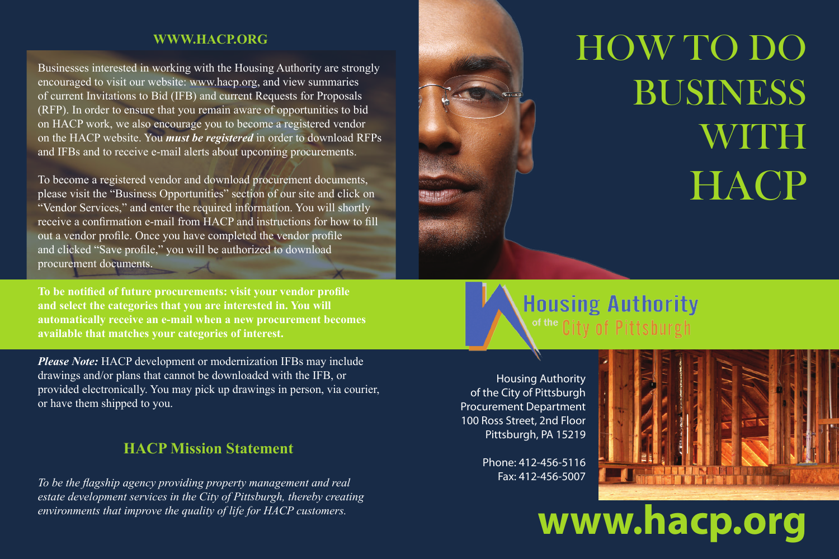### **WWW.HACP.ORG**

Businesses interested in working with the Housing Authority are strongly encouraged to visit our website: www.hacp.org, and view summaries of current Invitations to Bid (IFB) and current Requests for Proposals (RFP). In order to ensure that you remain aware of opportunities to bid on HACP work, we also encourage you to become a registered vendor on the HACP website. You *must be registered* in order to download RFPs and IFBs and to receive e-mail alerts about upcoming procurements.

To become a registered vendor and download procurement documents, please visit the "Business Opportunities" section of our site and click on "Vendor Services," and enter the required information. You will shortly receive a confirmation e-mail from HACP and instructions for how to fill out a vendor profile. Once you have completed the vendor profile and clicked "Save profile," you will be authorized to download procurement documents.

**To be notified of future procurements: visit your vendor profile and select the categories that you are interested in. You will automatically receive an e-mail when a new procurement becomes available that matches your categories of interest.**

*Please Note:* HACP development or modernization IFBs may include drawings and/or plans that cannot be downloaded with the IFB, or provided electronically. You may pick up drawings in person, via courier, or have them shipped to you.

### **HACP Mission Statement**

*To be the flagship agency providing property management and real estate development services in the City of Pittsburgh, thereby creating environments that improve the quality of life for HACP customers.*

## HOW TO DO BUSINESS **WITH HACP**

**Housing Authority** of the City of Pittsbur

Housing Authority of the City of Pittsburgh Procurement Department 100 Ross Street, 2nd Floor Pittsburgh, PA 15219

> Phone: 412-456-5116 Fax: 412-456-5007



# **www.hacp.org**